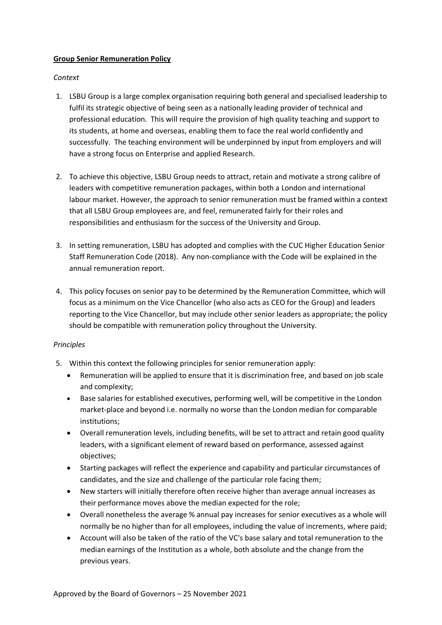## **Group Senior Remuneration Policy**

## *Context*

- 1. LSBU Group is a large complex organisation requiring both general and specialised leadership to fulfil its strategic objective of being seen as a nationally leading provider of technical and professional education. This will require the provision of high quality teaching and support to its students, at home and overseas, enabling them to face the real world confidently and successfully. The teaching environment will be underpinned by input from employers and will have a strong focus on Enterprise and applied Research.
- 2. To achieve this objective, LSBU Group needs to attract, retain and motivate a strong calibre of leaders with competitive remuneration packages, within both a London and international labour market. However, the approach to senior remuneration must be framed within a context that all LSBU Group employees are, and feel, remunerated fairly for their roles and responsibilities and enthusiasm for the success of the University and Group.
- 3. In setting remuneration, LSBU has adopted and complies with the CUC Higher Education Senior Staff Remuneration Code (2018). Any non-compliance with the Code will be explained in the annual remuneration report.
- 4. This policy focuses on senior pay to be determined by the Remuneration Committee, which will focus as a minimum on the Vice Chancellor (who also acts as CEO for the Group) and leaders reporting to the Vice Chancellor, but may include other senior leaders as appropriate; the policy should be compatible with remuneration policy throughout the University.

## *Principles*

- 5. Within this context the following principles for senior remuneration apply:
	- Remuneration will be applied to ensure that it is discrimination free, and based on job scale and complexity;
	- Base salaries for established executives, performing well, will be competitive in the London market-place and beyond i.e. normally no worse than the London median for comparable institutions;
	- Overall remuneration levels, including benefits, will be set to attract and retain good quality leaders, with a significant element of reward based on performance, assessed against objectives;
	- Starting packages will reflect the experience and capability and particular circumstances of candidates, and the size and challenge of the particular role facing them;
	- New starters will initially therefore often receive higher than average annual increases as their performance moves above the median expected for the role;
	- Overall nonetheless the average % annual pay increases for senior executives as a whole will normally be no higher than for all employees, including the value of increments, where paid;
	- Account will also be taken of the ratio of the VC's base salary and total remuneration to the median earnings of the Institution as a whole, both absolute and the change from the previous years.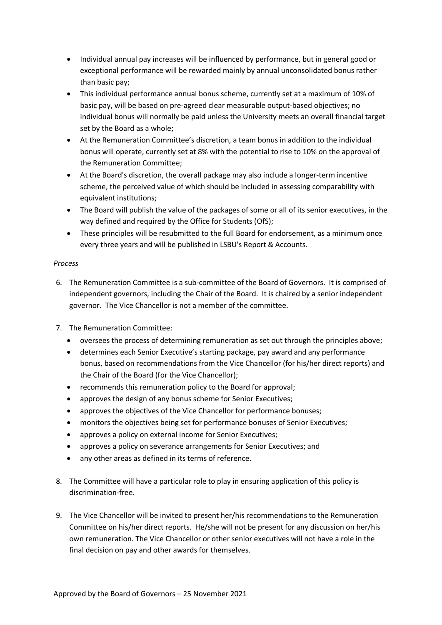- Individual annual pay increases will be influenced by performance, but in general good or exceptional performance will be rewarded mainly by annual unconsolidated bonus rather than basic pay;
- This individual performance annual bonus scheme, currently set at a maximum of 10% of basic pay, will be based on pre-agreed clear measurable output-based objectives; no individual bonus will normally be paid unless the University meets an overall financial target set by the Board as a whole;
- At the Remuneration Committee's discretion, a team bonus in addition to the individual bonus will operate, currently set at 8% with the potential to rise to 10% on the approval of the Remuneration Committee;
- At the Board's discretion, the overall package may also include a longer-term incentive scheme, the perceived value of which should be included in assessing comparability with equivalent institutions;
- The Board will publish the value of the packages of some or all of its senior executives, in the way defined and required by the Office for Students (OfS);
- These principles will be resubmitted to the full Board for endorsement, as a minimum once every three years and will be published in LSBU's Report & Accounts.

## *Process*

- 6. The Remuneration Committee is a sub-committee of the Board of Governors. It is comprised of independent governors, including the Chair of the Board. It is chaired by a senior independent governor. The Vice Chancellor is not a member of the committee.
- 7. The Remuneration Committee:
	- oversees the process of determining remuneration as set out through the principles above;
	- determines each Senior Executive's starting package, pay award and any performance bonus, based on recommendations from the Vice Chancellor (for his/her direct reports) and the Chair of the Board (for the Vice Chancellor);
	- recommends this remuneration policy to the Board for approval;
	- approves the design of any bonus scheme for Senior Executives;
	- approves the objectives of the Vice Chancellor for performance bonuses;
	- monitors the objectives being set for performance bonuses of Senior Executives;
	- approves a policy on external income for Senior Executives;
	- approves a policy on severance arrangements for Senior Executives; and
	- any other areas as defined in its terms of reference.
- 8. The Committee will have a particular role to play in ensuring application of this policy is discrimination-free.
- 9. The Vice Chancellor will be invited to present her/his recommendations to the Remuneration Committee on his/her direct reports. He/she will not be present for any discussion on her/his own remuneration. The Vice Chancellor or other senior executives will not have a role in the final decision on pay and other awards for themselves.